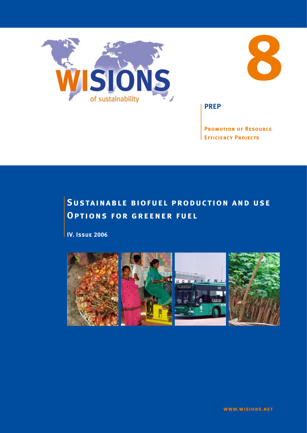



**PREP**

**Promotion of Resource Efficiency Projects**

# **Sustainable biofuel production and use Options for greener fuel**

**IV. Issue 2006**

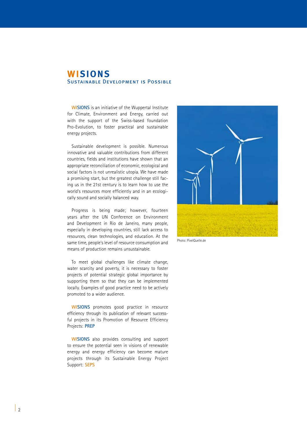# **WISIONS** Sustainable Development is Possible

**WISIONS** is an initiative of the Wuppertal Institute for Climate, Environment and Energy, carried out with the support of the Swiss-based foundation Pro-Evolution, to foster practical and sustainable energy projects.

Sustainable development is possible. Numerous innovative and valuable contributions from different countries, fields and institutions have shown that an appropriate reconciliation of economic, ecological and social factors is not unrealistic utopia. We have made a promising start, but the greatest challenge still facing us in the 21st century is to learn how to use the world's resources more efficiently and in an ecologically sound and socially balanced way.

Progress is being made; however, fourteen years after the UN Conference on Environment and Development in Rio de Janeiro, many people, especially in developing countries, still lack access to resources, clean technologies, and education. At the same time, people's level of resource consumption and means of production remains unsustainable.

To meet global challenges like climate change, water scarcity and poverty, it is necessary to foster projects of potential strategic global importance by supporting them so that they can be implemented locally. Examples of good practice need to be actively promoted to a wider audience.

**WISIONS** promotes good practice in resource efficiency through its publication of relevant successful projects in its Promotion of Resource Efficiency Projects: **PREP**

**WISIONS** also provides consulting and support to ensure the potential seen in visions of renewable energy and energy efficiency can become mature projects through its Sustainable Energy Project Support: **SEPS**



Photo: PixelQuelle.de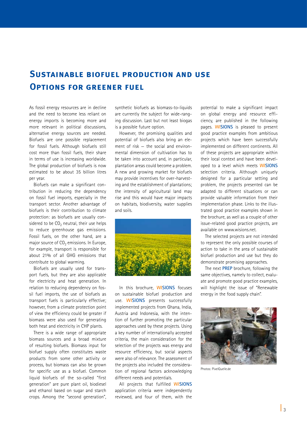# **Sustainable biofuel production and use Options for greener fuel**

As fossil energy resources are in decline and the need to become less reliant on energy imports is becoming more and more relevant in political discussions, alternative energy sources are needed. Biofuels are one possible replacement for fossil fuels. Although biofuels still cost more than fossil fuels, their share in terms of use is increasing worldwide. The global production of biofuels is now estimated to be about 35 billion litres per year.

Biofuels can make a significant contribution in reducing the dependency on fossil fuel imports, especially in the transport sector. Another advantage of biofuels is their contribution to climate protection: as biofuels are usually considered to be  $CO<sub>2</sub>$  neutral, their use helps to reduce greenhouse gas emissions. Fossil fuels, on the other hand, are a major source of  $CO<sub>2</sub>$  emissions. In Europe, for example, transport is responsible for about 21% of all GHG emissions that contribute to global warming.

Biofuels are usually used for transport fuels, but they are also applicable for electricity and heat generation. In relation to reducing dependency on fossil fuel imports, the use of biofuels as transport fuels is particularly effective; however, from a climate protection point of view the efficiency could be greater if biomass were also used for generating both heat and electricity in CHP plants.

There is a wide range of appropriate biomass sources and a broad mixture of resulting biofuels. Biomass input for biofuel supply often constitutes waste products from some other activity or process, but biomass can also be grown for specific use as a biofuel. Common liquid biofuels of the so-called "first generation" are pure plant oil, biodiesel and ethanol based on sugar and starch crops. Among the "second generation", synthetic biofuels as biomass-to-liquids are currently the subject for wide-ranging discussion. Last but not least biogas is a possible future option.

However, the promising qualities and potential of biofuels also bring an element of risk — the social and environmental dimension of cultivation has to be taken into account and, in particular, plantation areas could become a problem. A new and growing market for biofuels may provide incentives for over-harvesting and the establishment of plantations; the intensity of agricultural land may rise and this would have major impacts on habitats, biodiversity, water supplies and soils.



In this brochure, **WISIONS** focuses on sustainable biofuel production and use. **WISIONS** presents successfully implemented projects from Ghana, India, Austria and Indonesia, with the intention of further promoting the particular approaches used by these projects. Using a key number of internationally accepted criteria, the main consideration for the selection of the projects was energy and resource efficiency, but social aspects were also of relevance. The assessment of the projects also included the consideration of regional factors acknowledging different needs and potentials.

All projects that fulfilled **WISIONS** application criteria were independently reviewed, and four of them, with the potential to make a significant impact on global energy and resource efficiency, are published in the following pages. **WISIONS** is pleased to present good practice examples from ambitious projects which have been successfully implemented on different continents. All of these projects are appropriate within their local context and have been developed to a level which meets **WISIONS** selection criteria. Although uniquely designed for a particular setting and problem, the projects presented can be adapted to different situations or can provide valuable information from their implementation phase. Links to the illustrated good practice examples shown in the brochure, as well as a couple of other issue-related good practice projects, are available on www.wisions.net.

The selected projects are not intended to represent the only possible courses of action to take in the area of sustainable biofuel production and use but they do demonstrate promising approaches.

The next **PREP** brochure, following the same objectives, namely to collect, evaluate and promote good practice examples, will highlight the issue of "Renewable energy in the food supply chain".



Photos: PixelQuelle.de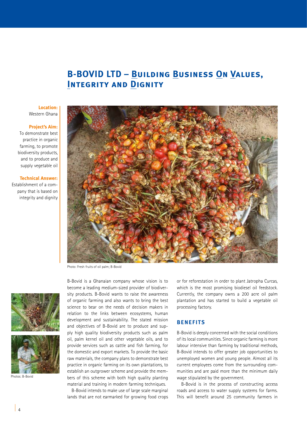# **B-BOVID LTD – Building Business On Values, Integrity and Dignity**

#### **Location:**  Western Ghana

#### **Project's Aim:**

To demonstrate best practice in organic farming, to promote biodiversity products, and to produce and supply vegetable oil

#### **Technical Answer:**

Establishment of a company that is based on integrity and dignity



Photo: Fresh fruits of oil palm; B-Bovid



Photos: B-Bovid

B-Bovid is a Ghanaian company whose vision is to become a leading medium-sized provider of biodiversity products. B-Bovid wants to raise the awareness of organic farming and also wants to bring the best science to bear on the needs of decision makers in relation to the links between ecosystems, human development and sustainability. The stated mission and objectives of B-Bovid are to produce and supply high quality biodiversity products such as palm oil, palm kernel oil and other vegetable oils, and to provide services such as cattle and fish farming, for the domestic and export markets. To provide the basic raw materials, the company plans to demonstrate best practice in organic farming on its own plantations, to establish an outgrower scheme and provide the members of this scheme with both high quality planting material and training in modern farming techniques.

B-Bovid intends to make use of large scale marginal lands that are not earmarked for growing food crops or for reforestation in order to plant Jatropha Curcas, which is the most promising biodiesel oil feedstock. Currently, the company owns a 200 acre oil palm plantation and has started to build a vegetable oil processing factory.

### **BENEFITS**

B-Bovid is deeply concerned with the social conditions of its local communities. Since organic farming is more labour intensive than farming by traditional methods, B-Bovid intends to offer greater job opportunities to unemployed women and young people. Almost all its current employees come from the surrounding communities and are paid more than the minimum daily wage stipulated by the government.

B-Bovid is in the process of constructing access roads and access to water supply systems for farms. This will benefit around 25 community farmers in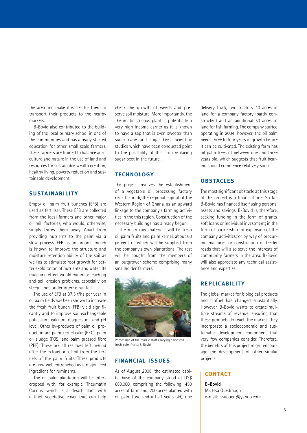the area and make it easier for them to transport their products to the nearby markets.

B-Bovid also contributed to the building of the local primary school in one of the communities and has already started education for other small scale farmers. These farmers are trained to balance agriculture and nature in the use of land and resources for sustainable wealth creation, healthy living, poverty reduction and sustainable development.

# **SUSTAINABILITY**

Empty oil palm fruit bunches (EFB) are used as fertiliser. These EFB are collected from the local farmers and other major oil mill factories, who would, otherwise, simply throw them away. Apart from providing nutrients to the palm via a slow process, EFB as an organic mulch is known to improve the structure and moisture retention ability of the soil as well as to stimulate root growth for better exploitation of nutrients and water. Its mulching effect would minimise leaching and soil erosion problems, especially on steep lands under intense rainfall.

The use of EFB at 37.5 t/ha per year in oil palm fields has been shown to increase the fresh fruit bunch (FFB) yield significantly and to improve soil exchangeable potassium, calcium, magnesium, and pH level. Other by-products of palm oil production are palm kernel cake (PKC), palm oil sludge (POS) and palm pressed fibre (PPF). These are all residues left behind after the extraction of oil from the kernels of the palm fruits. These products are now well entrenched as a major feed ingredient for ruminants.

The oil palm plantation will be intercropped with, for example, Theumatin Cocous, which is a dwarf plant with a thick vegetative cover that can help check the growth of weeds and preserve soil moisture. More importantly, the Theumatin Cocous plant is potentially a very high income earner as it is known to have a sap that is even sweeter than sugar cane and sugar beet. Scientific studies which have been conducted point to the possibility of this crop replacing sugar beet in the future..

# **TECHNOLOGY**

The project involves the establishment of a vegetable oil processing factory near Takoradi, the regional capital of the Western Region of Ghana, as an upward linkage to the company's farming activities in the this region. Construction of the necessary buildings has already begun.

The main raw materials will be fresh oil palm fruits and palm kernel, about 60 percent of which will be supplied from the company's own plantations. The rest will be bought from the members of an outgrower scheme comprising many smallholder farmers.



Photo: One of the female staff caarying harvested fresh palm fruits; B-Bovid

# **FINANCIAL ISSUE S**

As of August 2006, the estimated capital base of the company stood at US\$ 680,000, comprising the following: 450 acres of farmland, 200 acres planted with oil palm (two and a half years old), one delivery truck, two tractors, 10 acres of land for a company factory (partly constructed) and an additional 50 acres of land for fish farming. The company started operating in 2004; however, the oil palm needs three to four years of growth before it can be cultivated. The existing farm has oil palm trees of between one and three years old, which suggests that fruit bearing should commence relatively soon.

# **OBSTACLE S**

The most significant obstacle at this stage of the project is a financial one. So far, B-Bovid has financed itself using personal assets and savings. B-Bovid is, therefore, seeking funding in the form of grants, soft loans or individual investment; in the form of partnership for expansion of the company activities; or by way of procuring machines or construction of feeder roads that will also serve the interests of community farmers in the area. B-Bovid will also appreciate any technical assistance and expertise.

# **RE PLIC ABILIT Y**

The global market for biological products and biofuel has changed substantially. However, B-Bovid wants to create multiple streams of revenue, ensuring that these products do reach the market. They incorporate a socioeconomic and sustainable development component that very few companies consider. Therefore, the benefits of this project might encourage the development of other similar projects.

# **CONTACT**

**B-Bovid** Mr. Issa Ouedraogo e-mail: issaoued@yahoo.com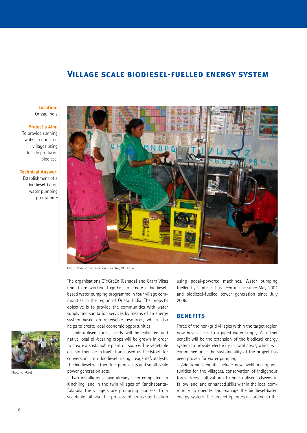# **Village scale biodiesel-fuelled energy system**

**Location:** Orissa, India

#### **Project's Aim:**

To provide running water in non-grid villages using locally produced biodiesel

# **Technical Answer:**

Establishment of a biodiesel-based water pumping programme



Photo: Pedal-driven Biodiesel Reactor; CTxGreEn

The organisations CTxGreEn (Canada) and Gram Vikas (India) are working together to create a biodieselbased water pumping programme in four village communities in the region of Orissa, India. The project's objective is to provide the communities with water supply and sanitation services by means of an energy system based on renewable resources, which also helps to create local economic opportunities.

Underutilised forest seeds will be collected and native local oil-bearing crops will be grown in order to create a sustainable plant oil source. The vegetable oil can then be extracted and used as feedstock for conversion into biodiesel using reagents/catalysts. The biodiesel will then fuel pump-sets and small-scale power generation sets.

Two installations have already been completed; in Kinchlingi and in the twin villages of Kandhabanta-Talataila the villagers are producing biodiesel from vegetable oil via the process of transesterification

using pedal-powered machines. Water pumping fuelled by biodiesel has been in use since May 2004 and biodiesel-fuelled power generation since July 2005.

# **BENEFITS**

Three of the non-grid villages within the target region now have access to a piped water supply. A further benefit will be the extension of the biodiesel energy system to provide electricity in rural areas, which will commence once the sustainability of the project has been proven for water pumping.

Additional benefits include new livelihood opportunities for the villagers, conservation of indigenous forest trees, cultivation of under-utilised oilseeds in fallow land, and enhanced skills within the local community to operate and manage the biodiesel-based energy system. The project operates according to the



Photo: CTxGreEn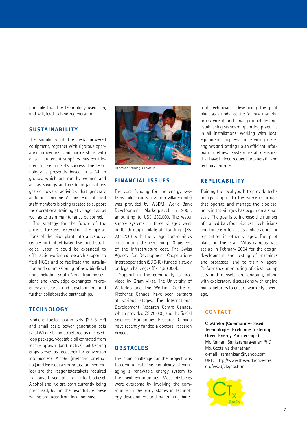principle that the technology used can, and will, lead to land regeneration.

# **SUSTAINABILITY**

The simplicity of the pedal-powered equipment, together with rigorous operating procedures and partnerships with diesel equipment suppliers, has contributed to the project's success. The technology is presently based in self-help groups, which are run by women and act as savings and credit organisations geared toward activities that generate additional income. A core team of local staff members is being created to support the operational training at village level as well as to train maintenance personnel.

The strategy for the future of the project foresees extending the operations of the pilot plant into a resource centre for biofuel-based livelihood strategies. Later, it could be expanded to offer action-oriented research support to field NGOs and to facilitate the installation and commissioning of new biodiesel units including South-North training sessions and knowledge exchanges, microenergy research and development, and further collaborative partnerships.

# **TECHNOLOGY**

Biodiesel-fuelled pump sets (3.5-5 HP) and small scale power generation sets (2-3kW) are being structured as a closedloop package. Vegetable oil extracted from locally grown (and native) oil-bearing crops serves as feedstock for conversion into biodiesel. Alcohol (methanol or ethanol) and lye (sodium or potassium hydroxide) are the reagents/catalysts required to convert vegetable oil into biodiesel. Alcohol and lye are both currently being purchased, but in the near future these will be produced from local biomass.



Hands-on training; CTxGreEn

# **FINANCIAL ISSUE S**

The core funding for the energy systems (pilot plants plus four village units) was provided by WBDM (World Bank Development Marketplace) in 2003, amounting to US\$ 230,000. The water supply systems in three villages were built through bilateral funding (Rs. 2,02,200) with the village communities contributing the remaining 40 percent of the infrastructure cost. The Swiss Agency for Development Cooperation-Intercooperation (SDC-IC) funded a study on legal challenges (Rs. 1,90,000).

Support in the community is provided by Gram Vikas. The University of Waterloo and The Working Centre of Kitchener, Canada, have been partners at various stages. The International Development Research Centre Canada, which provided C\$ 20,000, and the Social Sciences Humanities Research Canada have recently funded a doctoral research project.

## **OBSTACLE S**

The main challenge for the project was to communicate the complexity of managing a renewable energy system to the local communities. Most obstacles were overcome by involving the community in the early stages in technology development and by training barefoot technicians. Developing the pilot plant as a nodal centre for raw material procurement and final product testing, establishing standard operating practices in all installations, working with local equipment suppliers for servicing diesel engines and setting up an efficient information retrieval system are all measures that have helped reduce bureaucratic and technical hurdles.

# **RE PLIC ABILIT Y**

Training the local youth to provide technology support to the women's groups that operate and manage the biodiesel units in the villages has begun on a small scale. The goal is to increase the number of trained barefoot biodiesel technicians and for them to act as ambassadors for replication in other villages. The pilot plant on the Gram Vikas campus was set up in February 2004 for the design, development and testing of machines and processes, and to train villagers. Performance monitoring of diesel pump sets and gensets are ongoing, along with exploratory discussions with engine manufacturers to ensure warranty coverage.

# **CONTACT**

**CTxGreEn (Community-based Technologies Exchange fostering Green Energy Partnerships)** Mr. Ramani Sankaranarayanan PhD; Ms. Geeta Vaidyanathan e-mail: ramanisan@yahoo.com URL: http://www.theworkingcentre. org/wscd/ctx/ctx.html

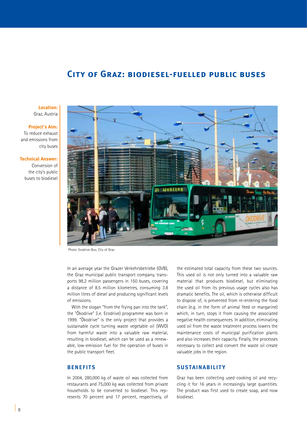# **City of Graz: biodiesel-fuelled public buses**

#### **Location:** Graz, Austria

## **Project's Aim:**  To reduce exhaust and emissions from city buses

#### **Technical Answer:**

Conversion of the city's public buses to biodiesel



Photo: Ecodrive-Bus; City of Graz

In an average year the Grazer Verkehrsbetriebe (GVB), the Graz municipal public transport company, transports 98.2 million passengers in 150 buses, covering a distance of 8.5 million kilometres, consuming 3.8 million litres of diesel and producing significant levels of emissions.

With the slogan "from the frying pan into the tank", the "Ökodrive" (i.e. Ecodrive) programme was born in 1999. "Ökodrive" is the only project that provides a sustainable cycle turning waste vegetable oil (WVO) from harmful waste into a valuable raw material, resulting in biodiesel, which can be used as a renewable, low-emission fuel for the operation of buses in the public transport fleet.

# **BENEFITS**

In 2004, 280,000 kg of waste oil was collected from restaurants and 75,000 kg was collected from private households to be converted to biodiesel. This represents 70 percent and 17 percent, respectively, of

the estimated total capacity from these two sources. This used oil is not only turned into a valuable raw material that produces biodiesel, but eliminating the used oil from its previous usage cycles also has dramatic benefits. The oil, which is otherwise difficult to dispose of, is prevented from re-entering the food chain (e.g. in the form of animal feed or margarine) which, in turn, stops it from causing the associated negative health consequences. In addition, eliminating used oil from the waste treatment process lowers the maintenance costs of municipal purification plants and also increases their capacity. Finally, the processes necessary to collect and convert the waste oil create valuable jobs in the region.

# **SUSTAINABILITY**

Graz has been collecting used cooking oil and recycling it for 16 years in increasingly large quantities. The product was first used to create soap, and now biodiesel.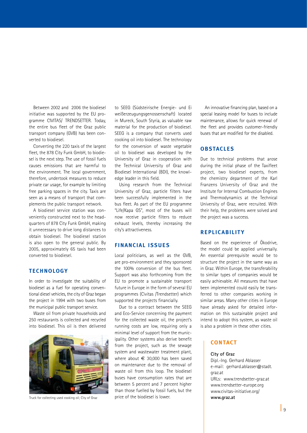Between 2002 and 2006 the biodiesel initiative was supported by the EU programme CIVITAS/ TRENDSETTER. Today, the entire bus fleet of the Graz public transport company (GVB) has been converted to biodiesel.

Converting the 220 taxis of the largest fleet, the 878 City Funk GmbH, to biodiesel is the next step. The use of fossil fuels causes emissions that are harmful to the environment. The local government, therefore, undertook measures to reduce private car usage, for example by limiting free parking spaces in the city. Taxis are seen as a means of transport that complements the public transport network.

A biodiesel service station was conveniently constructed next to the headquarters of 878 City Funk GmbH, making it unnecessary to drive long distances to obtain biodiesel. The biodiesel station is also open to the general public. By 2005, approximately 65 taxis had been converted to biodiesel.

# **TECHNOLOGY**

In order to investigate the suitability of biodiesel as a fuel for operating conventional diesel vehicles, the city of Graz began the project in 1994 with two buses from the municipal public transport service.

Waste oil from private households and 250 restaurants is collected and recycled into biodiesel. This oil is then delivered



to SEEG (Südsteirische Energie- und Ei weißerzeugungsgenossenschaft) located in Mureck, South Styria, as valuable raw material for the production of biodiesel. SEEG is a company that converts used cooking oil into biodiesel. The technology for the conversion of waste vegetable oil to biodiesel was developed by the University of Graz in cooperation with the Technical University of Graz and Biodiesel International (BDI), the knowledge leader in this field.

Using research from the Technical University of Graz, particle filters have been successfully implemented in the bus fleet. As part of the EU programme "Life/Kapa GS", most of the buses will now receive particle filters to reduce exhaust levels, thereby increasing the city's attractiveness.

# **FINANCIAL ISSUE S**

Local politicians, as well as the GVB, are pro-environment and they sponsored the 100% conversion of the bus fleet. Support was also forthcoming from the EU to promote a sustainable transport future in Europe in the form of several EU programmes (Civitas /Trendsetter) which supported the projects financially.

Due to a contract between the SEEG and Eco-Service concerning the payment for the collected waste oil, the project's running costs are low, requiring only a minimal level of support from the municipality. Other systems also derive benefit from the project, such as the sewage system and wastewater treatment plant, where about  $\epsilon$  30,000 has been saved on maintenance due to the removal of waste oil from this loop. The biodiesel buses have consumption rates that are between 5 percent and 7 percent higher than those fuelled by fossil fuels, but the price of the biodiesel is lower. Truck for collecting used cooking oil; City of Graz **wave price of the biodiesel is lower. www.graz.at** 

An innovative financing plan, based on a special leasing model for buses to include maintenance, allows for quick renewal of the fleet and provides customer-friendly buses that are modified for the disabled.

# **OBSTACLES**

Due to technical problems that arose during the initial phase of the Taxifleet project, two biodiesel experts, from the chemistry department of the Karl Franzens University of Graz and the Institute for Internal Combustion Engines and Thermodynamics at the Technical University of Graz, were recruited. With their help, the problems were solved and the project was a success.

### **RE PLIC ABILIT Y**

Based on the experience of Ökodrive, the model could be applied universally. An essential prerequisite would be to structure the project in the same way as in Graz. Within Europe, the transferability to similar types of companies would be easily achievable. All measures that have been implemented could easily be transferred to other companies working in similar areas. Many other cities in Europe have already asked for detailed information on this sustainable project and intend to adopt this system, as waste oil is also a problem in these other cities.

# **CONTACT**

#### **City of Graz**

Dipl.-Ing. Gerhard Ablasser e-mail: gerhard.ablasser@stadt. graz.at URLs: www.trendsetter-graz.at www.trendsetter-europe.org www.civitas-initiative.org/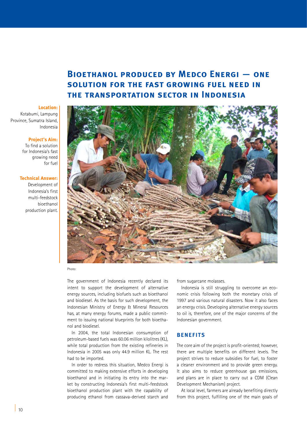# **Bioethanol produced by Medco Energi — one solution for the fast growing fuel need in the transportation sector in Indonesia**

#### **Location:**

Kotabumi, Lampung Province, Sumatra Island, Indonesia

#### **Project's Aim:**

To find a solution for Indonesia's fast growing need for fuel

### **Technical Answer:**

Development of Indonesia's first multi-feedstock bioethanol production plant.



#### Photo:

The government of Indonesia recently declared its intent to support the development of alternative energy sources, including biofuels such as bioethanol and biodiesel. As the basis for such development, the Indonesian Ministry of Energy & Mineral Resources has, at many energy forums, made a public commitment to issuing national blueprints for both bioethanol and biodiesel.

In 2004, the total Indonesian consumption of petroleum-based fuels was 60.06 million kilolitres (KL), while total production from the existing refineries in Indonesia in 2005 was only 44.9 million KL. The rest had to be imported.

In order to redress this situation, Medco Energi is committed to making extensive efforts in developing bioethanol and in initiating its entry into the market by constructing Indonesia's first multi-feedstock bioethanol production plant with the capability of producing ethanol from cassava-derived starch and

from sugarcane molasses.

Indonesia is still struggling to overcome an economic crisis following both the monetary crisis of 1997 and various natural disasters. Now it also faces an energy crisis. Developing alternative energy sources to oil is, therefore, one of the major concerns of the Indonesian government.

# **BENEFITS**

The core aim of the project is profit-oriented; however, there are multiple benefits on different levels. The project strives to reduce subsidies for fuel, to foster a cleaner environment and to provide green energy. It also aims to reduce greenhouse gas emissions, and plans are in place to carry out a CDM (Clean Development Mechanism) project.

At local level, farmers are already benefiting directly from this project, fulfilling one of the main goals of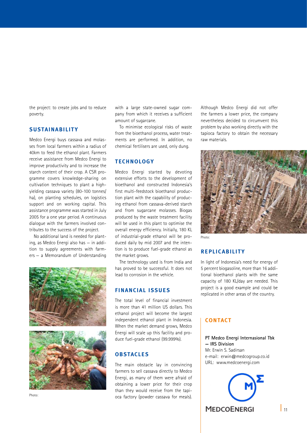the project: to create jobs and to reduce poverty.

# **SUSTAINABILITY**

Medco Energi buys cassava and molasses from local farmers within a radius of 40km to feed the ethanol plant. Farmers receive assistance from Medco Energi to improve productivity and to increase the starch content of their crop. A CSR programme covers knowledge-sharing on cultivation techniques to plant a highyielding cassava variety (80-100 tonnes/ ha), on planting schedules, on logistics support and on working capital. This assistance programme was started in July 2005 for a one year period. A continuous dialogue with the farmers involved contributes to the success of the project.

No additional land is needed for planting, as Medco Energi also has — in addition to supply agreements with farmers — a Memorandum of Understanding



Photo:

with a large state-owned sugar company from which it receives a sufficient amount of sugarcane.

To minimise ecological risks of waste from the bioethanol process, water treatments are performed. In addition, no chemical fertilisers are used, only dung.

# **TECHNOLOGY**

Medco Energi started by devoting extensive efforts to the development of bioethanol and constructed Indonesia's first multi-feedstock bioethanol production plant with the capability of producing ethanol from cassava-derived starch and from sugarcane molasses. Biogas produced by the waste treatment facility will be used in this plant to optimise the overall energy efficiency. Initially, 180 KL of industrial-grade ethanol will be produced daily by mid 2007 and the intention is to produce fuel-grade ethanol as the market grows.

The technology used is from India and has proved to be successful. It does not lead to corrosion in the vehicle.

# **FINANCIAL ISSUE S**

The total level of financial investment is more than 41 million US dollars. This ethanol project will become the largest independent ethanol plant in Indonesia. When the market demand grows, Medco Energi will scale up this facility and produce fuel-grade ethanol (99.999%).

# **OBSTACLE S**

The main obstacle lay in convincing farmers to sell cassava directly to Medco Energi, as many of them were afraid of obtaining a lower price for their crop than they would receive from the tapioca factory (powder cassava for meals).

Although Medco Energi did not offer the farmers a lower price, the company nevertheless decided to circumvent this problem by also working directly with the tapioca factory to obtain the necessary raw materials.



Photo:

# **RE PLIC ABILIT Y**

In light of Indonesia's need for energy of 5 percent biogasoline, more than 16 additional bioethanol plants with the same capacity of 180 KL/day are needed. This project is a good example and could be replicated in other areas of the country.

# **CONTACT**

**PT Medco Energi Internasional Tbk — IRS Division** Mr. Erwin S. Sadirsan e-mail: erwin@medcogroup.co.id URL: www.medcoenergi.com